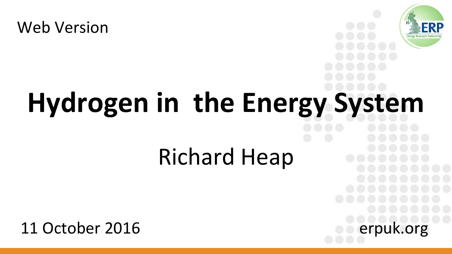



FRP

## Richard Heap

11 October 2016 erpuk.org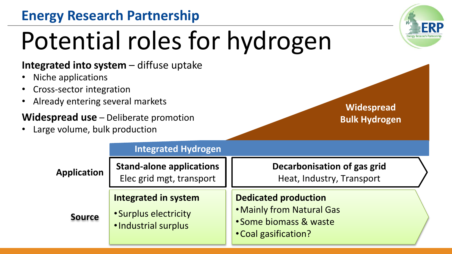# Potential roles for hydrogen

#### **Integrated into system – diffuse uptake**

- Niche applications
- Cross-sector integration
- Already entering several markets

#### **Widespread use** – Deliberate promotion

Large volume, bulk production

|               | <b>Integrated Hydrogen</b>                                                   |                                                                                                            |
|---------------|------------------------------------------------------------------------------|------------------------------------------------------------------------------------------------------------|
| Application   | <b>Stand-alone applications</b><br>Elec grid mgt, transport                  | Decarbonisation of gas grid<br>Heat, Industry, Transport                                                   |
| <b>Source</b> | <b>Integrated in system</b><br>• Surplus electricity<br>· Industrial surplus | <b>Dedicated production</b><br>. Mainly from Natural Gas<br>• Some biomass & waste<br>• Coal gasification? |

**Widespread Bulk Hydrogen**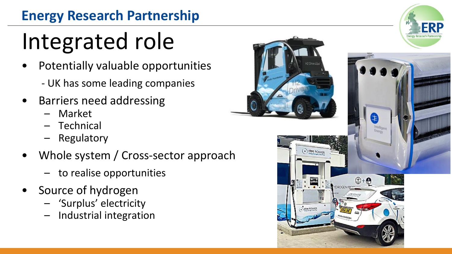# Integrated role

- Potentially valuable opportunities
	- UK has some leading companies
- Barriers need addressing
	- Market
	- Technical
	- Regulatory
- Whole system / Cross-sector approach
	- to realise opportunities
- Source of hydrogen
	- 'Surplus' electricity
	- Industrial integration

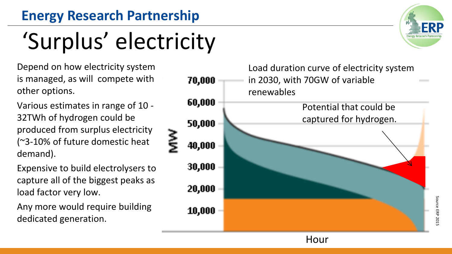## 'Surplus' electricity

Depend on how electricity system is managed, as will compete with other options.

Various estimates in range of 10 - 32TWh of hydrogen could be produced from surplus electricity (~3-10% of future domestic heat demand).

Expensive to build electrolysers to capture all of the biggest peaks as load factor very low.

Any more would require building dedicated generation.



Hour



Source ERP 2015 Source ERP 2015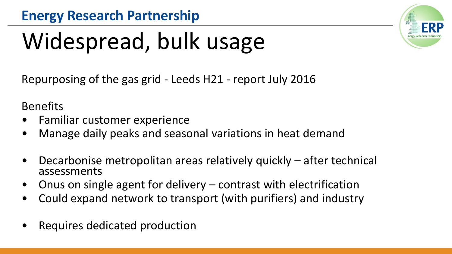# Widespread, bulk usage

Repurposing of the gas grid - Leeds H21 - report July 2016

Benefits

- Familiar customer experience
- Manage daily peaks and seasonal variations in heat demand
- Decarbonise metropolitan areas relatively quickly after technical assessments
- Onus on single agent for delivery  $-$  contrast with electrification
- Could expand network to transport (with purifiers) and industry
- Requires dedicated production

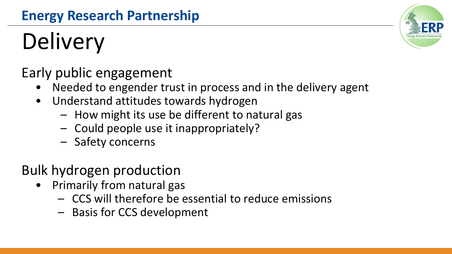# **Delivery**

Early public engagement

- Needed to engender trust in process and in the delivery agent
- Understand attitudes towards hydrogen
	- How might its use be different to natural gas
	- Could people use it inappropriately?
	- Safety concerns

## Bulk hydrogen production

- Primarily from natural gas
	- CCS will therefore be essential to reduce emissions
	- Basis for CCS development

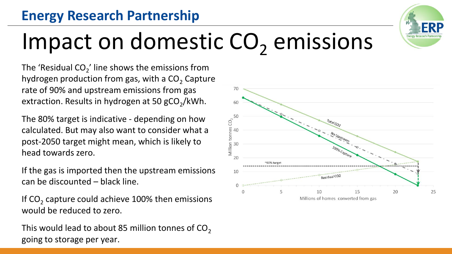

## Impact on domestic  $CO<sub>2</sub>$  emissions

The 'Residual CO<sub>2</sub>' line shows the emissions from hydrogen production from gas, with a  $CO<sub>2</sub>$  Capture rate of 90% and upstream emissions from gas extraction. Results in hydrogen at 50 gCO<sub>2</sub>/kWh.

The 80% target is indicative - depending on how calculated. But may also want to consider what a post-2050 target might mean, which is likely to head towards zero.

If the gas is imported then the upstream emissions can be discounted – black line.

If CO<sub>2</sub> capture could achieve 100% then emissions would be reduced to zero.

This would lead to about 85 million tonnes of  $CO<sub>2</sub>$ going to storage per year.

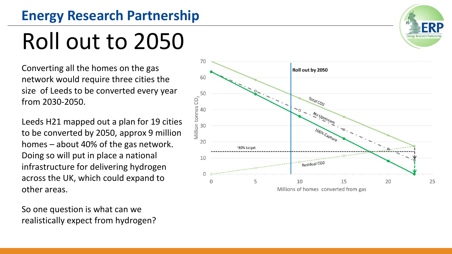## Roll out to 2050

Converting all the homes on the gas network would require three cities the size of Leeds to be converted every year from 2030-2050.

Leeds H21 mapped out a plan for 19 cities to be converted by 2050, approx 9 million homes – about 40% of the gas network. Doing so will put in place a national infrastructure for delivering hydrogen across the UK, which could expand to other areas.

So one question is what can we realistically expect from hydrogen?



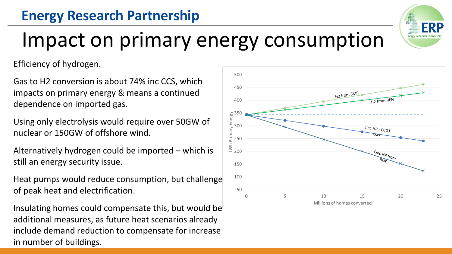## Impact on primary energy consumption

Efficiency of hydrogen.

Gas to H2 conversion is about 74% inc CCS, which impacts on primary energy & means a continued dependence on imported gas.

Using only electrolysis would require over 50GW of nuclear or 150GW of offshore wind.

Alternatively hydrogen could be imported – which is still an energy security issue.

Heat pumps would reduce consumption, but challenge of peak heat and electrification.

Insulating homes could compensate this, but would be additional measures, as future heat scenarios already include demand reduction to compensate for increase in number of buildings.



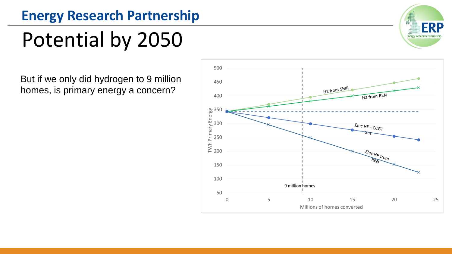## Potential by 2050

But if we only did hydrogen to 9 million homes, is primary energy a concern?



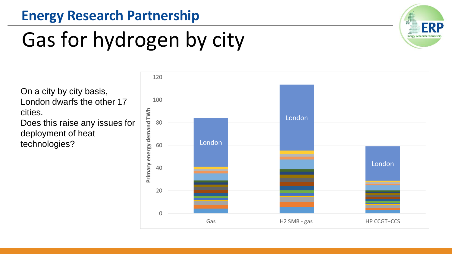## Gas for hydrogen by city



On a city by city basis, London dwarfs the other 17 cities.

Does this raise any issues for deployment of heat technologies?